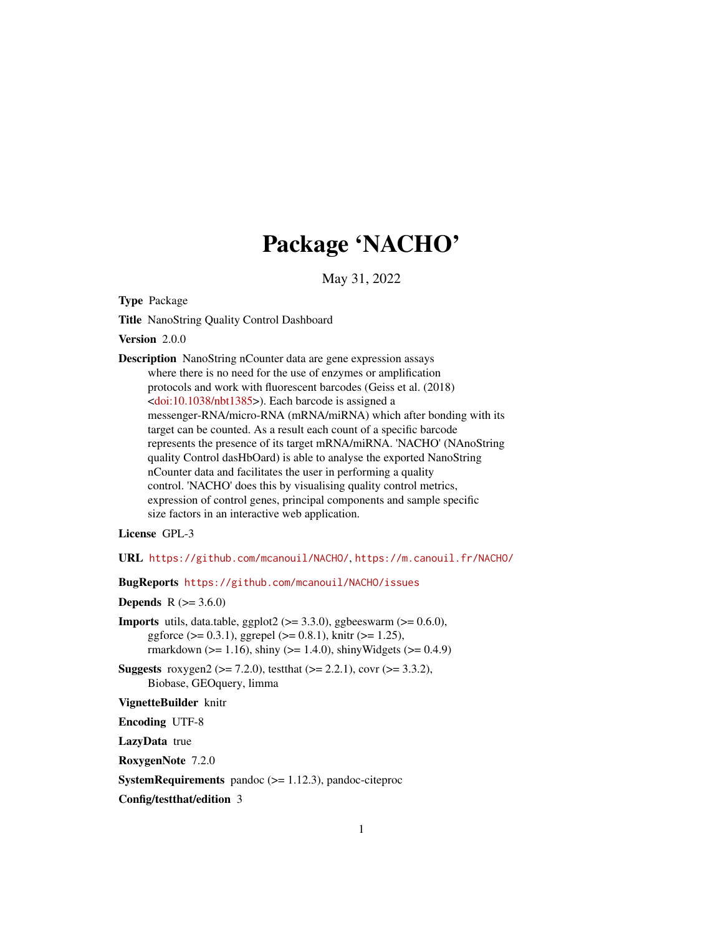# Package 'NACHO'

May 31, 2022

<span id="page-0-0"></span>Type Package

Title NanoString Quality Control Dashboard

Version 2.0.0

Description NanoString nCounter data are gene expression assays where there is no need for the use of enzymes or amplification protocols and work with fluorescent barcodes (Geiss et al. (2018) [<doi:10.1038/nbt1385>](https://doi.org/10.1038/nbt1385)). Each barcode is assigned a messenger-RNA/micro-RNA (mRNA/miRNA) which after bonding with its target can be counted. As a result each count of a specific barcode represents the presence of its target mRNA/miRNA. 'NACHO' (NAnoString quality Control dasHbOard) is able to analyse the exported NanoString nCounter data and facilitates the user in performing a quality control. 'NACHO' does this by visualising quality control metrics, expression of control genes, principal components and sample specific size factors in an interactive web application.

License GPL-3

URL <https://github.com/mcanouil/NACHO/>, <https://m.canouil.fr/NACHO/>

BugReports <https://github.com/mcanouil/NACHO/issues>

**Depends** R  $(>= 3.6.0)$ 

**Imports** utils, data.table, ggplot2 ( $> = 3.3.0$ ), ggbeeswarm ( $> = 0.6.0$ ), ggforce ( $> = 0.3.1$ ), ggrepel ( $>= 0.8.1$ ), knitr ( $>= 1.25$ ), rmarkdown ( $>= 1.16$ ), shiny ( $>= 1.4.0$ ), shinyWidgets ( $>= 0.4.9$ )

**Suggests** roxygen2 ( $>= 7.2.0$ ), test that ( $>= 2.2.1$ ), covr ( $>= 3.3.2$ ), Biobase, GEOquery, limma

VignetteBuilder knitr

Encoding UTF-8

LazyData true

RoxygenNote 7.2.0

**SystemRequirements** pandoc  $(>= 1.12.3)$ , pandoc-citeproc

Config/testthat/edition 3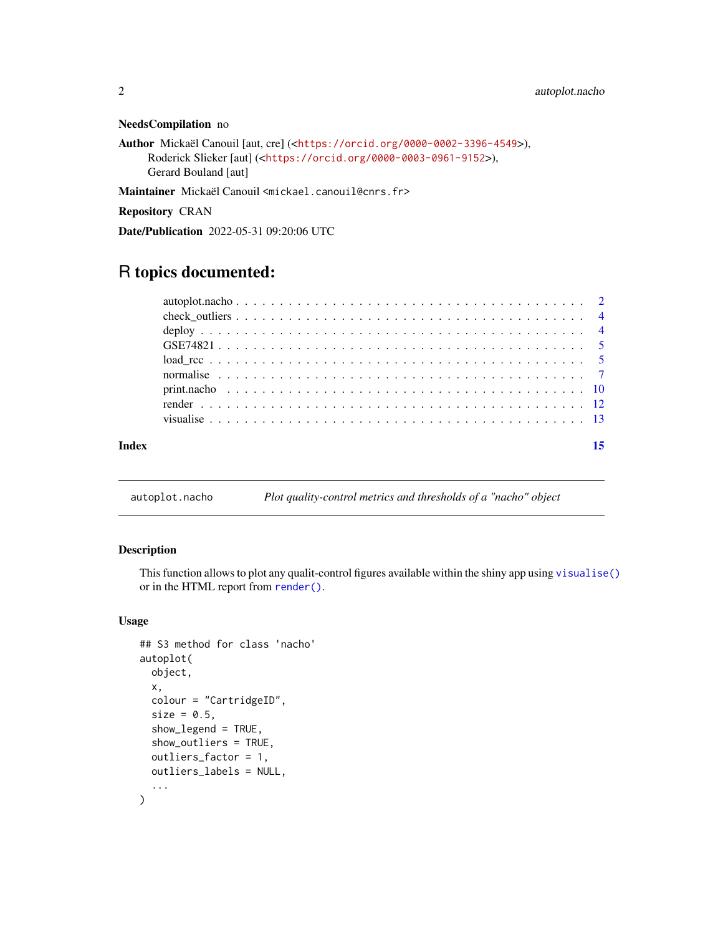#### <span id="page-1-0"></span>NeedsCompilation no

```
Author Mickaël Canouil [aut, cre] (<https://orcid.org/0000-0002-3396-4549>),
     Roderick Slieker [aut] (<https://orcid.org/0000-0003-0961-9152>),
     Gerard Bouland [aut]
```
Maintainer Mickaël Canouil <mickael.canouil@cnrs.fr>

Repository CRAN

Date/Publication 2022-05-31 09:20:06 UTC

# R topics documented:

| Index |  |
|-------|--|
|       |  |
|       |  |
|       |  |
|       |  |
|       |  |
|       |  |
|       |  |
|       |  |
|       |  |

autoplot.nacho *Plot quality-control metrics and thresholds of a "nacho" object*

#### Description

This function allows to plot any qualit-control figures available within the shiny app using [visualise\(\)](#page-12-1) or in the HTML report from [render\(\)](#page-11-1).

#### Usage

```
## S3 method for class 'nacho'
autoplot(
 object,
 x,
 colour = "CartridgeID",
  size = 0.5,
  show_legend = TRUE,
  show_outliers = TRUE,
 outliers_factor = 1,
 outliers_labels = NULL,
  ...
)
```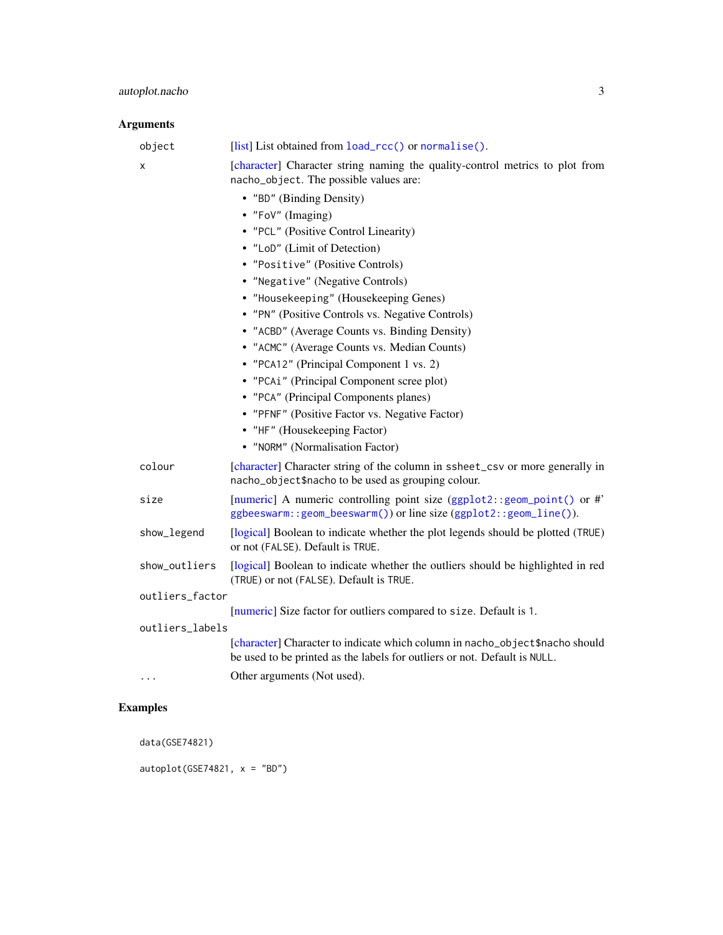# <span id="page-2-0"></span>Arguments

| object          | [list] List obtained from load_rcc() or normalise().                                                                                                      |
|-----------------|-----------------------------------------------------------------------------------------------------------------------------------------------------------|
| x               | [character] Character string naming the quality-control metrics to plot from<br>nacho_object. The possible values are:                                    |
|                 | • "BD" (Binding Density)                                                                                                                                  |
|                 | • "FoV" (Imaging)                                                                                                                                         |
|                 | • "PCL" (Positive Control Linearity)                                                                                                                      |
|                 | • "LoD" (Limit of Detection)                                                                                                                              |
|                 | • "Positive" (Positive Controls)                                                                                                                          |
|                 | • "Negative" (Negative Controls)                                                                                                                          |
|                 | • "Housekeeping" (Housekeeping Genes)                                                                                                                     |
|                 | • "PN" (Positive Controls vs. Negative Controls)                                                                                                          |
|                 | • "ACBD" (Average Counts vs. Binding Density)                                                                                                             |
|                 | • "ACMC" (Average Counts vs. Median Counts)                                                                                                               |
|                 | • "PCA12" (Principal Component 1 vs. 2)                                                                                                                   |
|                 | • "PCAi" (Principal Component scree plot)                                                                                                                 |
|                 | • "PCA" (Principal Components planes)                                                                                                                     |
|                 | • "PFNF" (Positive Factor vs. Negative Factor)                                                                                                            |
|                 | • "HF" (Housekeeping Factor)                                                                                                                              |
|                 | • "NORM" (Normalisation Factor)                                                                                                                           |
| colour          | [character] Character string of the column in ssheet_csv or more generally in<br>nacho_object\$nacho to be used as grouping colour.                       |
| size            | [numeric] A numeric controlling point size (ggplot2::geom_point() or #'<br>ggbeeswarm::geom_beeswarm()) or line size (ggplot2::geom_line()).              |
| show_legend     | [logical] Boolean to indicate whether the plot legends should be plotted (TRUE)<br>or not (FALSE). Default is TRUE.                                       |
| show_outliers   | [logical] Boolean to indicate whether the outliers should be highlighted in red<br>(TRUE) or not (FALSE). Default is TRUE.                                |
| outliers_factor |                                                                                                                                                           |
|                 | [numeric] Size factor for outliers compared to size. Default is 1.                                                                                        |
| outliers_labels |                                                                                                                                                           |
|                 | [character] Character to indicate which column in nacho_object\$nacho should<br>be used to be printed as the labels for outliers or not. Default is NULL. |
| .               | Other arguments (Not used).                                                                                                                               |

# Examples

data(GSE74821)

autoplot(GSE74821,  $x = "BD")$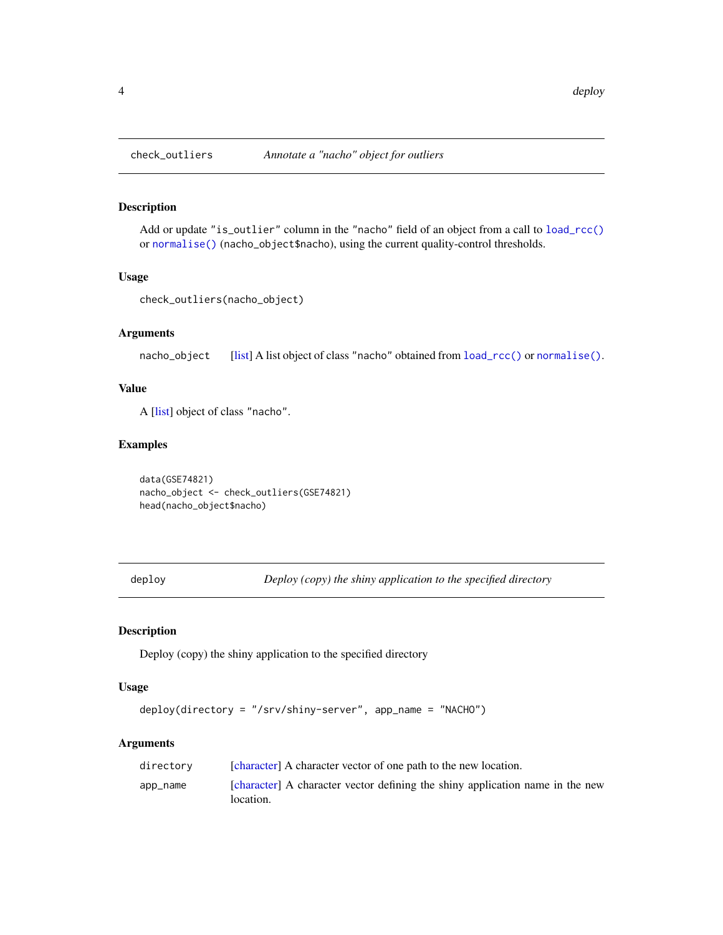<span id="page-3-0"></span>

### Description

Add or update "is\_outlier" column in the "nacho" field of an object from a call to [load\\_rcc\(\)](#page-4-1) or [normalise\(\)](#page-6-1) (nacho\_object\$nacho), using the current quality-control thresholds.

#### Usage

```
check_outliers(nacho_object)
```
#### Arguments

nacho\_object [\[list\]](#page-0-0) A list object of class "nacho" obtained from [load\\_rcc\(\)](#page-4-1) or [normalise\(\)](#page-6-1).

#### Value

A [\[list\]](#page-0-0) object of class "nacho".

#### Examples

data(GSE74821) nacho\_object <- check\_outliers(GSE74821) head(nacho\_object\$nacho)

deploy *Deploy (copy) the shiny application to the specified directory*

# Description

Deploy (copy) the shiny application to the specified directory

#### Usage

```
deploy(directory = "/srv/shiny-server", app_name = "NACHO")
```
#### Arguments

| directory | [character] A character vector of one path to the new location.                            |
|-----------|--------------------------------------------------------------------------------------------|
| app_name  | [character] A character vector defining the shiny application name in the new<br>location. |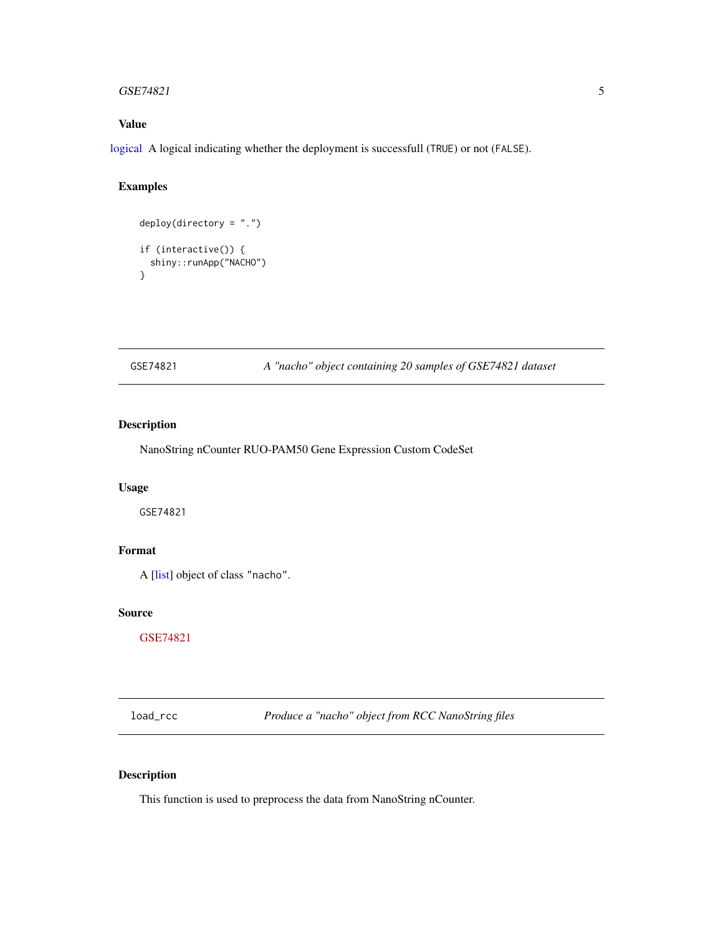#### <span id="page-4-0"></span> $GSE74821$  5

# Value

[logical](#page-0-0) A logical indicating whether the deployment is successfull (TRUE) or not (FALSE).

#### Examples

```
deploy(directory = "."')if (interactive()) {
  shiny::runApp("NACHO")
}
```
GSE74821 *A "nacho" object containing 20 samples of GSE74821 dataset*

### Description

NanoString nCounter RUO-PAM50 Gene Expression Custom CodeSet

#### Usage

GSE74821

# Format

A [\[list\]](#page-0-0) object of class "nacho".

#### Source

[GSE74821](https://www.ncbi.nlm.nih.gov/geo/query/acc.cgi?acc=GSE74821)

<span id="page-4-1"></span>load\_rcc *Produce a "nacho" object from RCC NanoString files*

# Description

This function is used to preprocess the data from NanoString nCounter.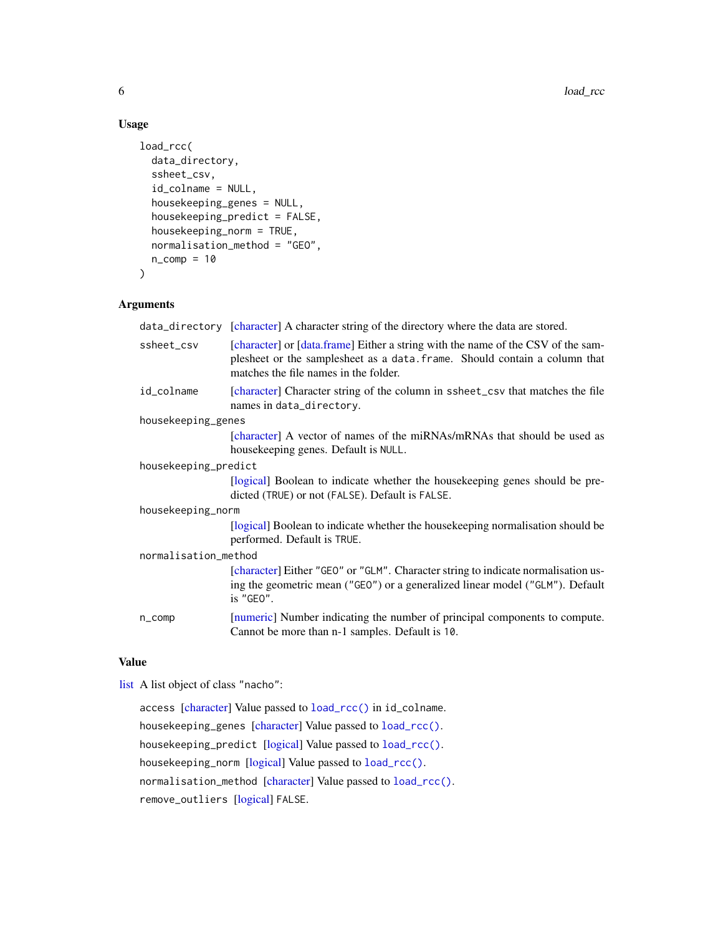#### Usage

```
load_rcc(
  data_directory,
  ssheet_csv,
  id_colname = NULL,
  housekeeping_genes = NULL,
  housekeeping_predict = FALSE,
  housekeeping_norm = TRUE,
  normalisation_method = "GEO",
 n_{\text{comp}} = 10)
```
# Arguments

| data_directory [character] A character string of the directory where the data are stored.                                                                                                               |  |  |
|---------------------------------------------------------------------------------------------------------------------------------------------------------------------------------------------------------|--|--|
| [character] or [data.frame] Either a string with the name of the CSV of the sam-<br>plesheet or the samplesheet as a data. frame. Should contain a column that<br>matches the file names in the folder. |  |  |
| [character] Character string of the column in ssheet_csy that matches the file<br>names in data_directory.                                                                                              |  |  |
| housekeeping_genes                                                                                                                                                                                      |  |  |
| [character] A vector of names of the miRNAs/mRNAs that should be used as<br>housekeeping genes. Default is NULL.                                                                                        |  |  |
| housekeeping_predict                                                                                                                                                                                    |  |  |
| [logical] Boolean to indicate whether the house keeping genes should be pre-<br>dicted (TRUE) or not (FALSE). Default is FALSE.                                                                         |  |  |
| housekeeping_norm                                                                                                                                                                                       |  |  |
| [logical] Boolean to indicate whether the housekeeping normalisation should be<br>performed. Default is TRUE.                                                                                           |  |  |
| normalisation_method                                                                                                                                                                                    |  |  |
| [character] Either "GEO" or "GLM". Character string to indicate normalisation us-<br>ing the geometric mean ("GEO") or a generalized linear model ("GLM"). Default<br>is "GEO".                         |  |  |
| [numeric] Number indicating the number of principal components to compute.<br>Cannot be more than n-1 samples. Default is 10.                                                                           |  |  |
|                                                                                                                                                                                                         |  |  |

### Value

```
list A list object of class "nacho":
```
access [\[character\]](#page-0-0) Value passed to [load\\_rcc\(\)](#page-4-1) in id\_colname. housekeeping\_genes [\[character\]](#page-0-0) Value passed to [load\\_rcc\(\)](#page-4-1). housekeeping\_predict [\[logical\]](#page-0-0) Value passed to [load\\_rcc\(\)](#page-4-1). housekeeping\_norm [\[logical\]](#page-0-0) Value passed to [load\\_rcc\(\)](#page-4-1). normalisation\_method [\[character\]](#page-0-0) Value passed to [load\\_rcc\(\)](#page-4-1). remove\_outliers [\[logical\]](#page-0-0) FALSE.

<span id="page-5-0"></span>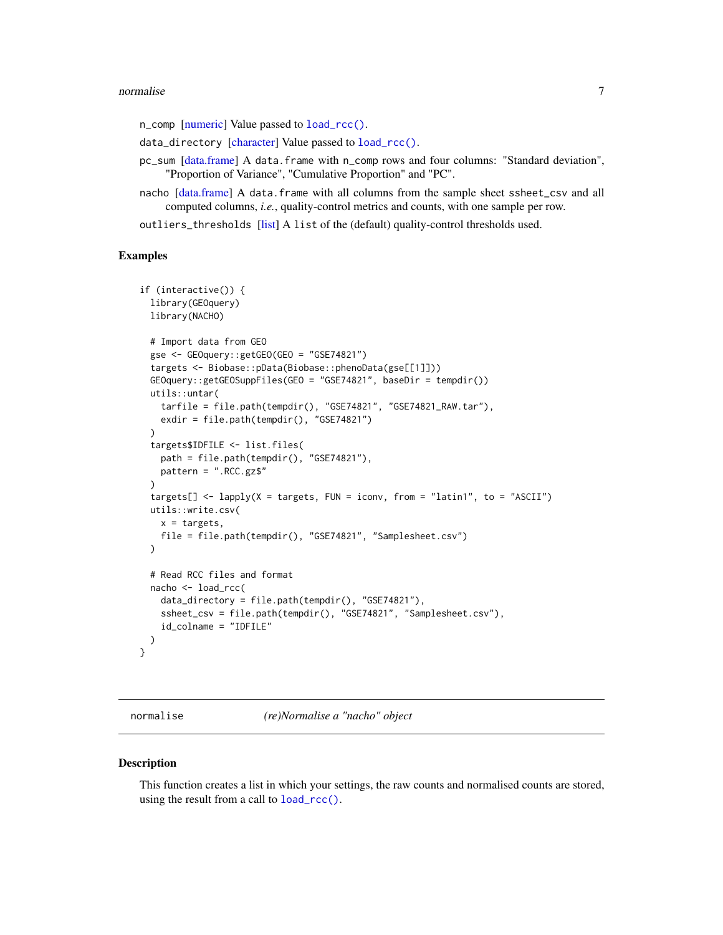#### <span id="page-6-0"></span>normalise and the contract of the contract of the contract of the contract of the contract of the contract of the contract of the contract of the contract of the contract of the contract of the contract of the contract of

n\_comp [\[numeric\]](#page-0-0) Value passed to [load\\_rcc\(\)](#page-4-1).

- data\_directory [\[character\]](#page-0-0) Value passed to [load\\_rcc\(\)](#page-4-1).
- pc\_sum [\[data.frame\]](#page-0-0) A data.frame with n\_comp rows and four columns: "Standard deviation", "Proportion of Variance", "Cumulative Proportion" and "PC".
- nacho [\[data.frame\]](#page-0-0) A data.frame with all columns from the sample sheet ssheet\_csv and all computed columns, *i.e.*, quality-control metrics and counts, with one sample per row.
- outliers\_thresholds [\[list\]](#page-0-0) A list of the (default) quality-control thresholds used.

#### Examples

```
if (interactive()) {
 library(GEOquery)
 library(NACHO)
 # Import data from GEO
 gse <- GEOquery::getGEO(GEO = "GSE74821")
 targets <- Biobase::pData(Biobase::phenoData(gse[[1]]))
 GEOquery::getGEOSuppFiles(GEO = "GSE74821", baseDir = tempdir())
 utils::untar(
    tarfile = file.path(tempdir(), "GSE74821", "GSE74821_RAW.tar"),
   exdir = file.path(tempdir(), "GSE74821")
 )
 targets$IDFILE <- list.files(
   path = file.path(tempdir(), "GSE74821"),
   pattern = ".RCC.gz$"
 \lambdatargets[] <- lapply(X = targets, FUN = iconv, from = "latin1", to = "ASCII")
 utils::write.csv(
   x = \text{targets},
   file = file.path(tempdir(), "GSE74821", "Samplesheet.csv")
 )
 # Read RCC files and format
 nacho <- load_rcc(
   data_directory = file.path(tempdir(), "GSE74821"),
   ssheet_csv = file.path(tempdir(), "GSE74821", "Samplesheet.csv"),
   id_colname = "IDFILE"
 )
}
```
<span id="page-6-1"></span>

normalise *(re)Normalise a "nacho" object*

#### Description

This function creates a list in which your settings, the raw counts and normalised counts are stored, using the result from a call to [load\\_rcc\(\)](#page-4-1).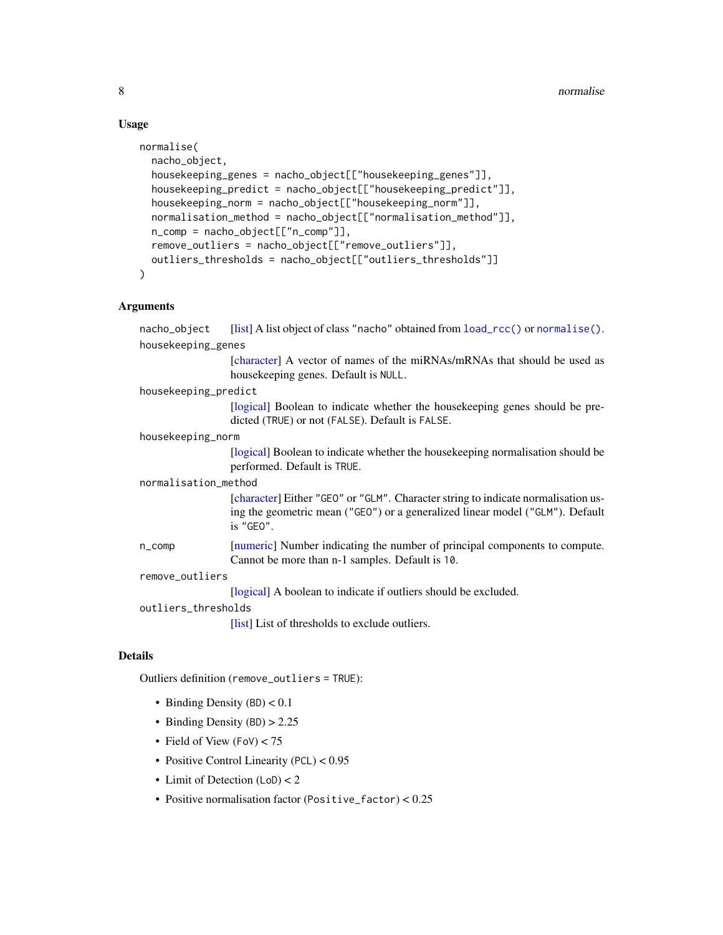# Usage

```
normalise(
  nacho_object,
  housekeeping_genes = nacho_object[["housekeeping_genes"]],
  housekeeping_predict = nacho_object[["housekeeping_predict"]],
  housekeeping_norm = nacho_object[["housekeeping_norm"]],
  normalisation_method = nacho_object[["normalisation_method"]],
  n_comp = nacho_object[["n_comp"]],
  remove_outliers = nacho_object[["remove_outliers"]],
  outliers_thresholds = nacho_object[["outliers_thresholds"]]
\mathcal{L}
```
# Arguments

| nacho_object         | [list] A list object of class "nacho" obtained from load_rcc() or normalise().                                                                                                  |  |
|----------------------|---------------------------------------------------------------------------------------------------------------------------------------------------------------------------------|--|
| housekeeping_genes   |                                                                                                                                                                                 |  |
|                      | [character] A vector of names of the miRNAs/mRNAs that should be used as<br>housekeeping genes. Default is NULL.                                                                |  |
| housekeeping_predict |                                                                                                                                                                                 |  |
|                      | [logical] Boolean to indicate whether the house keeping genes should be pre-<br>dicted (TRUE) or not (FALSE). Default is FALSE.                                                 |  |
| housekeeping_norm    |                                                                                                                                                                                 |  |
|                      | [logical] Boolean to indicate whether the house keeping normalisation should be<br>performed. Default is TRUE.                                                                  |  |
| normalisation_method |                                                                                                                                                                                 |  |
|                      | [character] Either "GEO" or "GLM". Character string to indicate normalisation us-<br>ing the geometric mean ("GEO") or a generalized linear model ("GLM"). Default<br>is "GEO". |  |
| $n_{\text{-}}$ comp  | [numeric] Number indicating the number of principal components to compute.<br>Cannot be more than n-1 samples. Default is 10.                                                   |  |
| remove_outliers      |                                                                                                                                                                                 |  |
|                      | [logical] A boolean to indicate if outliers should be excluded.                                                                                                                 |  |
| outliers_thresholds  |                                                                                                                                                                                 |  |
|                      | [list] List of thresholds to exclude outliers.                                                                                                                                  |  |

## Details

Outliers definition (remove\_outliers = TRUE):

- Binding Density  $(BD) < 0.1$
- Binding Density (BD) > 2.25
- Field of View (FoV) < 75
- Positive Control Linearity (PCL) <  $0.95$
- Limit of Detection (LoD) < 2
- Positive normalisation factor (Positive\_factor) < 0.25

<span id="page-7-0"></span>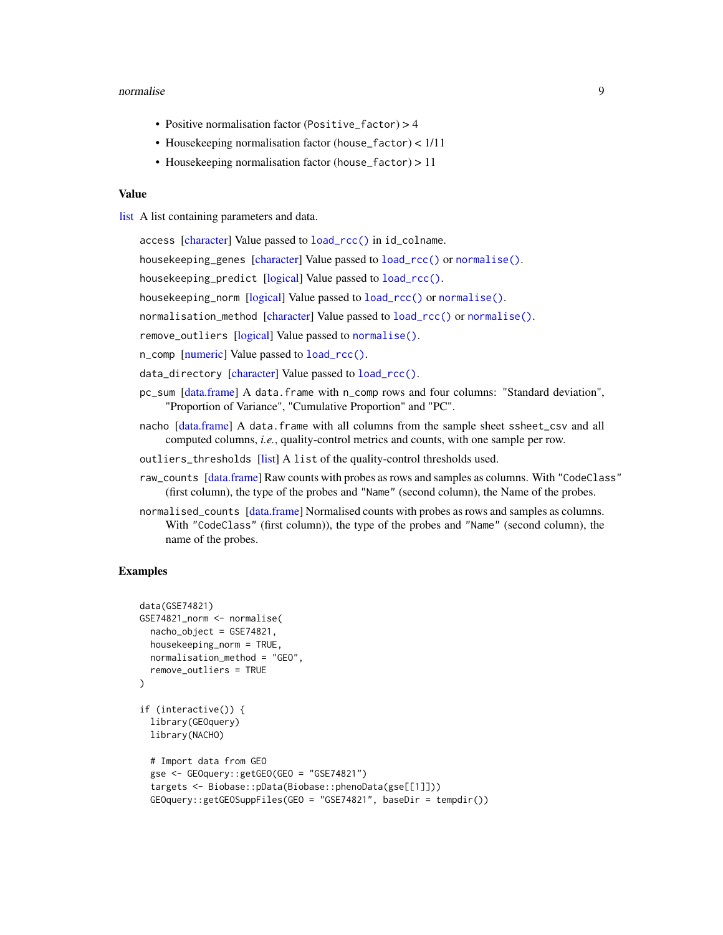#### <span id="page-8-0"></span>normalise 9

- Positive normalisation factor (Positive\_factor) > 4
- Housekeeping normalisation factor (house\_factor) < 1/11
- Housekeeping normalisation factor (house\_factor) > 11

#### Value

[list](#page-0-0) A list containing parameters and data.

access [\[character\]](#page-0-0) Value passed to [load\\_rcc\(\)](#page-4-1) in id\_colname.

housekeeping\_genes [\[character\]](#page-0-0) Value passed to [load\\_rcc\(\)](#page-4-1) or [normalise\(\)](#page-6-1).

housekeeping\_predict [\[logical\]](#page-0-0) Value passed to [load\\_rcc\(\)](#page-4-1).

housekeeping\_norm [\[logical\]](#page-0-0) Value passed to [load\\_rcc\(\)](#page-4-1) or [normalise\(\)](#page-6-1).

normalisation\_method [\[character\]](#page-0-0) Value passed to [load\\_rcc\(\)](#page-4-1) or [normalise\(\)](#page-6-1).

remove\_outliers [\[logical\]](#page-0-0) Value passed to [normalise\(\)](#page-6-1).

n\_comp [\[numeric\]](#page-0-0) Value passed to [load\\_rcc\(\)](#page-4-1).

data\_directory [\[character\]](#page-0-0) Value passed to [load\\_rcc\(\)](#page-4-1).

- pc\_sum [\[data.frame\]](#page-0-0) A data.frame with n\_comp rows and four columns: "Standard deviation", "Proportion of Variance", "Cumulative Proportion" and "PC".
- nacho [\[data.frame\]](#page-0-0) A data.frame with all columns from the sample sheet ssheet\_csv and all computed columns, *i.e.*, quality-control metrics and counts, with one sample per row.

outliers\_thresholds [\[list\]](#page-0-0) A list of the quality-control thresholds used.

- raw\_counts [\[data.frame\]](#page-0-0) Raw counts with probes as rows and samples as columns. With "CodeClass" (first column), the type of the probes and "Name" (second column), the Name of the probes.
- normalised\_counts [\[data.frame\]](#page-0-0) Normalised counts with probes as rows and samples as columns. With "CodeClass" (first column)), the type of the probes and "Name" (second column), the name of the probes.

#### Examples

```
data(GSE74821)
GSE74821_norm <- normalise(
 nacho_object = GSE74821,
 housekeeping_norm = TRUE,
 normalisation_method = "GEO",
 remove_outliers = TRUE
)
if (interactive()) {
 library(GEOquery)
 library(NACHO)
 # Import data from GEO
 gse <- GEOquery::getGEO(GEO = "GSE74821")
 targets <- Biobase::pData(Biobase::phenoData(gse[[1]]))
 GEOquery::getGEOSuppFiles(GEO = "GSE74821", baseDir = tempdir())
```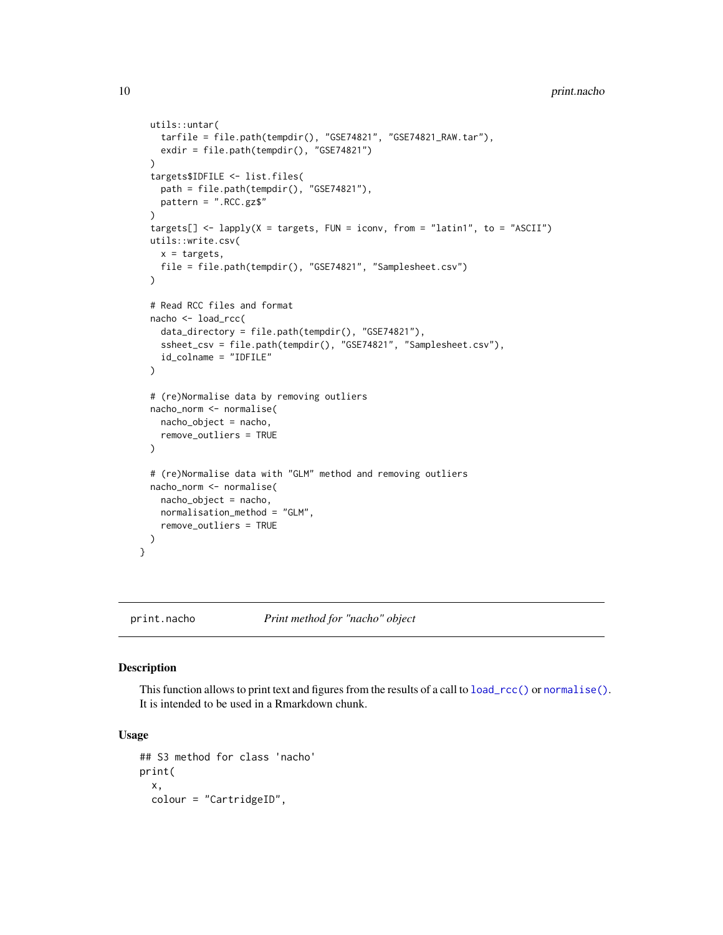```
utils::untar(
    tarfile = file.path(tempdir(), "GSE74821", "GSE74821_RAW.tar"),
   exdir = file.path(tempdir(), "GSE74821")
 \lambdatargets$IDFILE <- list.files(
   path = file.path(tempdir(), "GSE74821"),
   pattern = ".RCC.gz$"
 )
 targets[] \le lapply(X = targets, FUN = iconv, from = "latin1", to = "ASCII")
 utils::write.csv(
   x = \text{targets},
   file = file.path(tempdir(), "GSE74821", "Samplesheet.csv")
 )
 # Read RCC files and format
 nacho <- load_rcc(
    data_directory = file.path(tempdir(), "GSE74821"),
    ssheet_csv = file.path(tempdir(), "GSE74821", "Samplesheet.csv"),
   id_colname = "IDFILE"
 )
 # (re)Normalise data by removing outliers
 nacho_norm <- normalise(
   nacho_object = nacho,
   remove_outliers = TRUE
 )
 # (re)Normalise data with "GLM" method and removing outliers
 nacho_norm <- normalise(
   nacho_object = nacho,
   normalisation_method = "GLM",
   remove_outliers = TRUE
 )
}
```
#### print.nacho *Print method for "nacho" object*

#### Description

This function allows to print text and figures from the results of a call to  $load\_rcc()$  or [normalise\(\)](#page-6-1). It is intended to be used in a Rmarkdown chunk.

#### Usage

```
## S3 method for class 'nacho'
print(
  x,
  colour = "CartridgeID",
```
<span id="page-9-0"></span>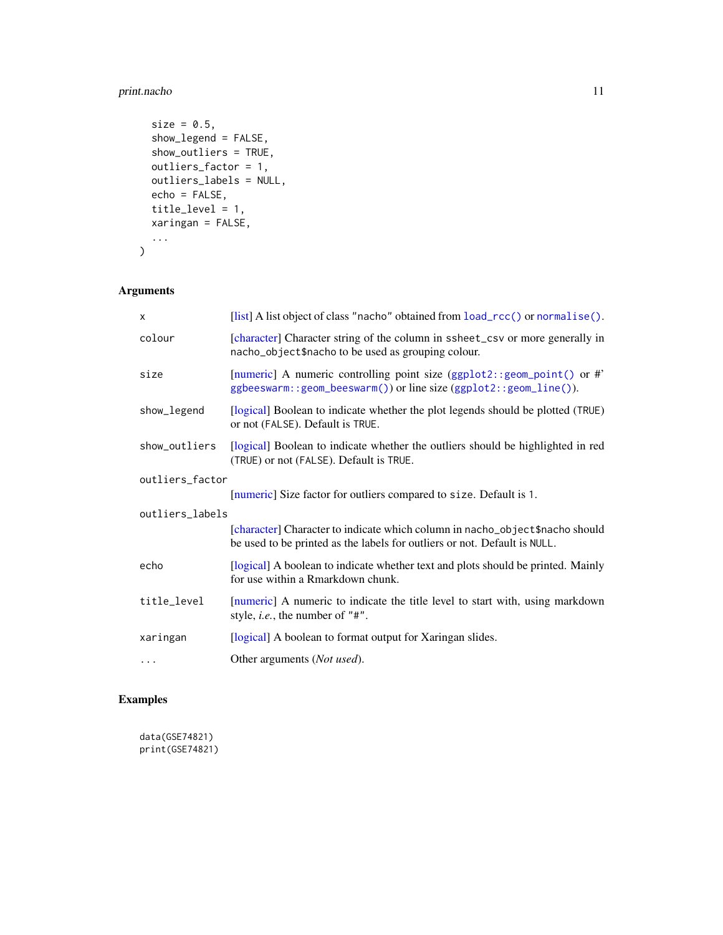# <span id="page-10-0"></span>print.nacho 11

```
size = 0.5,
 show_legend = FALSE,
 show_outliers = TRUE,
 outliers_factor = 1,
 outliers_labels = NULL,
 echo = FALSE,
  title_level = 1,
 xaringan = FALSE,
  ...
\mathcal{L}
```
# Arguments

| X               | [list] A list object of class "nacho" obtained from load_rcc() or normalise().                                                                            |  |
|-----------------|-----------------------------------------------------------------------------------------------------------------------------------------------------------|--|
| colour          | [character] Character string of the column in ssheet_csv or more generally in<br>nacho_object\$nacho to be used as grouping colour.                       |  |
| size            | [numeric] A numeric controlling point size (ggplot2::geom_point() or #'<br>ggbeeswarm::geom_beeswarm()) or line size (ggplot2::geom_line()).              |  |
| show_legend     | [logical] Boolean to indicate whether the plot legends should be plotted (TRUE)<br>or not (FALSE). Default is TRUE.                                       |  |
| show_outliers   | [logical] Boolean to indicate whether the outliers should be highlighted in red<br>(TRUE) or not (FALSE). Default is TRUE.                                |  |
| outliers_factor |                                                                                                                                                           |  |
|                 | [numeric] Size factor for outliers compared to size. Default is 1.                                                                                        |  |
| outliers_labels |                                                                                                                                                           |  |
|                 | [character] Character to indicate which column in nacho_object\$nacho should<br>be used to be printed as the labels for outliers or not. Default is NULL. |  |
| echo            | [logical] A boolean to indicate whether text and plots should be printed. Mainly<br>for use within a Rmarkdown chunk.                                     |  |
| title_level     | [numeric] A numeric to indicate the title level to start with, using markdown<br>style, <i>i.e.</i> , the number of "#".                                  |  |
| xaringan        | [logical] A boolean to format output for Xaringan slides.                                                                                                 |  |
| .               | Other arguments (Not used).                                                                                                                               |  |

# Examples

data(GSE74821) print(GSE74821)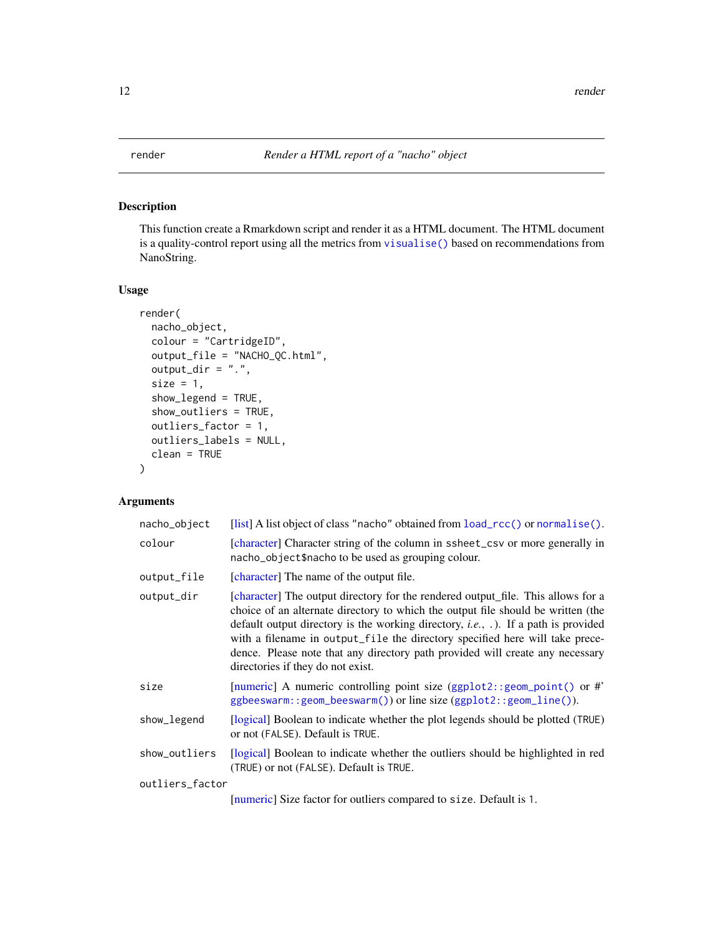<span id="page-11-1"></span><span id="page-11-0"></span>

### Description

This function create a Rmarkdown script and render it as a HTML document. The HTML document is a quality-control report using all the metrics from [visualise\(\)](#page-12-1) based on recommendations from NanoString.

#### Usage

```
render(
  nacho_object,
  colour = "CartridgeID",
  output_file = "NACHO_QC.html",
  output\_dir = "."size = 1,
  show_legend = TRUE,
  show_outliers = TRUE,
  outliers_factor = 1,
  outliers_labels = NULL,
  clean = TRUE
)
```
# Arguments

| nacho_object    | [list] A list object of class "nacho" obtained from load_rcc() or normalise().                                                                                                                                                                                                                                                                                                                                                                                                   |  |
|-----------------|----------------------------------------------------------------------------------------------------------------------------------------------------------------------------------------------------------------------------------------------------------------------------------------------------------------------------------------------------------------------------------------------------------------------------------------------------------------------------------|--|
| colour          | [character] Character string of the column in ssheet_csv or more generally in<br>nacho_object\$nacho to be used as grouping colour.                                                                                                                                                                                                                                                                                                                                              |  |
| output_file     | [character] The name of the output file.                                                                                                                                                                                                                                                                                                                                                                                                                                         |  |
| output_dir      | [character] The output directory for the rendered output_file. This allows for a<br>choice of an alternate directory to which the output file should be written (the<br>default output directory is the working directory, <i>i.e.</i> , $\ldots$ ). If a path is provided<br>with a filename in output_file the directory specified here will take prece-<br>dence. Please note that any directory path provided will create any necessary<br>directories if they do not exist. |  |
| size            | [numeric] A numeric controlling point size (ggplot2:: geom_point() or #'<br>ggbeeswarm::geom_beeswarm()) or line size (ggplot2::geom_line()).                                                                                                                                                                                                                                                                                                                                    |  |
| show_legend     | [logical] Boolean to indicate whether the plot legends should be plotted (TRUE)<br>or not (FALSE). Default is TRUE.                                                                                                                                                                                                                                                                                                                                                              |  |
| show_outliers   | [logical] Boolean to indicate whether the outliers should be highlighted in red<br>(TRUE) or not (FALSE). Default is TRUE.                                                                                                                                                                                                                                                                                                                                                       |  |
| outliers_factor |                                                                                                                                                                                                                                                                                                                                                                                                                                                                                  |  |
|                 | [numeric] Size factor for outliers compared to size. Default is 1.                                                                                                                                                                                                                                                                                                                                                                                                               |  |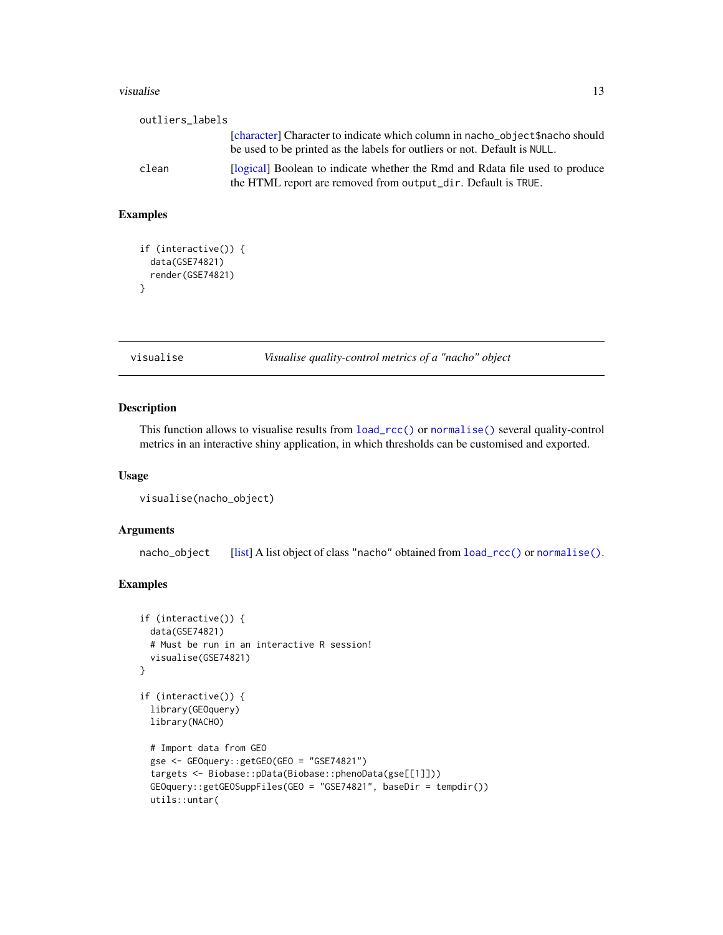#### <span id="page-12-0"></span>visualise is a state of the state of the state of the state of the state of the state of the state of the state of the state of the state of the state of the state of the state of the state of the state of the state of the

| outliers labels |                                                                                                                                                           |
|-----------------|-----------------------------------------------------------------------------------------------------------------------------------------------------------|
|                 | [character] Character to indicate which column in nacho_object\$nacho should<br>be used to be printed as the labels for outliers or not. Default is NULL. |
| clean           | [logical] Boolean to indicate whether the Rmd and Rdata file used to produce<br>the HTML report are removed from output_dir. Default is TRUE.             |

# Examples

```
if (interactive()) {
  data(GSE74821)
  render(GSE74821)
}
```
<span id="page-12-1"></span>visualise *Visualise quality-control metrics of a "nacho" object*

#### Description

This function allows to visualise results from [load\\_rcc\(\)](#page-4-1) or [normalise\(\)](#page-6-1) several quality-control metrics in an interactive shiny application, in which thresholds can be customised and exported.

#### Usage

```
visualise(nacho_object)
```
#### Arguments

nacho\_object [\[list\]](#page-0-0) A list object of class "nacho" obtained from  $load\_rcc()$  or [normalise\(\)](#page-6-1).

#### Examples

```
if (interactive()) {
 data(GSE74821)
 # Must be run in an interactive R session!
 visualise(GSE74821)
}
if (interactive()) {
 library(GEOquery)
 library(NACHO)
 # Import data from GEO
 gse <- GEOquery::getGEO(GEO = "GSE74821")
 targets <- Biobase::pData(Biobase::phenoData(gse[[1]]))
 GEOquery::getGEOSuppFiles(GEO = "GSE74821", baseDir = tempdir())
 utils::untar(
```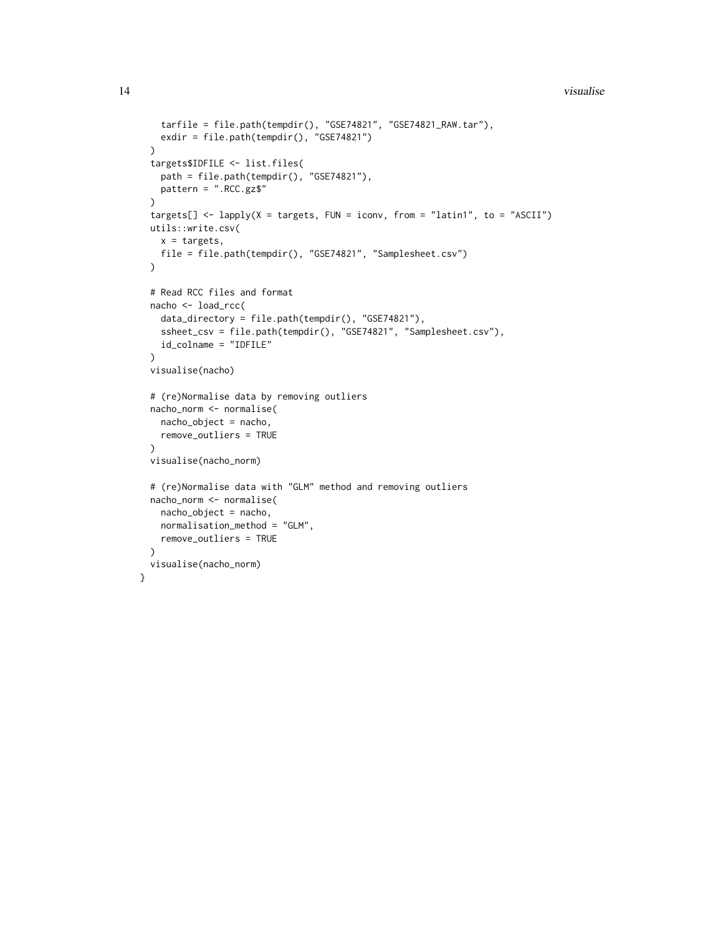```
tarfile = file.path(tempdir(), "GSE74821", "GSE74821_RAW.tar"),
   exdir = file.path(tempdir(), "GSE74821")
 \lambdatargets$IDFILE <- list.files(
   path = file.path(tempdir(), "GSE74821"),
   pattern = ".RCC.gz$"
 \lambdatargets[] <- lapply(X = targets, FUN = iconv, from = "latin1", to = "ASCII")
 utils::write.csv(
   x = \text{targets},
   file = file.path(tempdir(), "GSE74821", "Samplesheet.csv")
 )
 # Read RCC files and format
 nacho <- load_rcc(
   data_directory = file.path(tempdir(), "GSE74821"),
   ssheet_csv = file.path(tempdir(), "GSE74821", "Samplesheet.csv"),
   id_colname = "IDFILE"
 \lambdavisualise(nacho)
 # (re)Normalise data by removing outliers
 nacho_norm <- normalise(
   nacho_object = nacho,
   remove_outliers = TRUE
 )
 visualise(nacho_norm)
 # (re)Normalise data with "GLM" method and removing outliers
 nacho_norm <- normalise(
   nacho_object = nacho,
   normalisation_method = "GLM",
   remove_outliers = TRUE
 )
 visualise(nacho_norm)
}
```